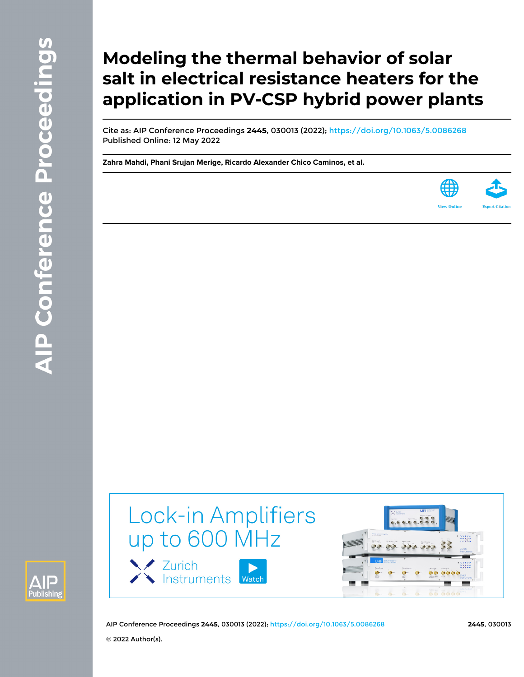# **Modeling the thermal behavior of solar salt in electrical resistance heaters for the application in PV-CSP hybrid power plants**

Cite as: AIP Conference Proceedings **2445**, 030013 (2022); <https://doi.org/10.1063/5.0086268> Published Online: 12 May 2022

**[Zahra Mahdi](https://aip.scitation.org/author/Mahdi%2C+Zahra), [Phani Srujan Merige](https://aip.scitation.org/author/Merige%2C+Phani+Srujan), [Ricardo Alexander Chico Caminos,](https://aip.scitation.org/author/Caminos%2C+Ricardo+Alexander+Chico) et al.**





Lock-in Amplifiers up to 600 MHz

Zurich<br>Kinstruments Watch



AIP Conference Proceedings **2445**, 030013 (2022); <https://doi.org/10.1063/5.0086268> **2445**, 030013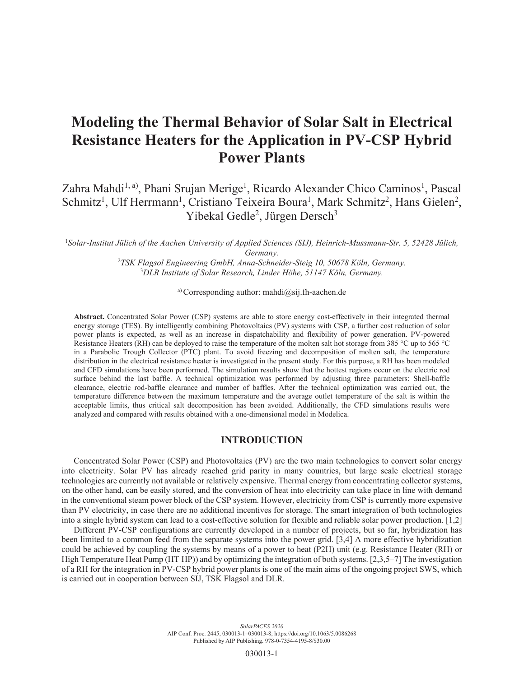# **Modeling the Thermal Behavior of Solar Salt in Electrical Resistance Heaters for the Application in PV-CSP Hybrid Power Plants**

Zahra Mahdi<sup>1, a)</sup>, Phani Srujan Merige<sup>1</sup>, Ricardo Alexander Chico Caminos<sup>1</sup>, Pascal Schmitz<sup>1</sup>, Ulf Herrmann<sup>1</sup>, Cristiano Teixeira Boura<sup>1</sup>, Mark Schmitz<sup>2</sup>, Hans Gielen<sup>2</sup>, Yibekal Gedle<sup>2</sup>, Jürgen Dersch<sup>3</sup>

1 *Solar-Institut Jülich of the Aachen University of Applied Sciences (SIJ), Heinrich-Mussmann-Str. 5, 52428 Jülich, Germany.*

> <sup>2</sup>TSK Flagsol Engineering GmbH, Anna-Schneider-Steig 10, 50678 Köln, Germany. 3 *DLR Institute of Solar Research, Linder Höhe, 51147 Köln, Germany.*

> > a) Corresponding author: mahdi $@sij.fh$ -aachen.de

**Abstract.** Concentrated Solar Power (CSP) systems are able to store energy cost-effectively in their integrated thermal energy storage (TES). By intelligently combining Photovoltaics (PV) systems with CSP, a further cost reduction of solar power plants is expected, as well as an increase in dispatchability and flexibility of power generation. PV-powered Resistance Heaters (RH) can be deployed to raise the temperature of the molten salt hot storage from 385 °C up to 565 °C in a Parabolic Trough Collector (PTC) plant. To avoid freezing and decomposition of molten salt, the temperature distribution in the electrical resistance heater is investigated in the present study. For this purpose, a RH has been modeled and CFD simulations have been performed. The simulation results show that the hottest regions occur on the electric rod surface behind the last baffle. A technical optimization was performed by adjusting three parameters: Shell-baffle clearance, electric rod-baffle clearance and number of baffles. After the technical optimization was carried out, the temperature difference between the maximum temperature and the average outlet temperature of the salt is within the acceptable limits, thus critical salt decomposition has been avoided. Additionally, the CFD simulations results were analyzed and compared with results obtained with a one-dimensional model in Modelica.

#### **INTRODUCTION**

Concentrated Solar Power (CSP) and Photovoltaics (PV) are the two main technologies to convert solar energy into electricity. Solar PV has already reached grid parity in many countries, but large scale electrical storage technologies are currently not available or relatively expensive. Thermal energy from concentrating collector systems, on the other hand, can be easily stored, and the conversion of heat into electricity can take place in line with demand in the conventional steam power block of the CSP system. However, electricity from CSP is currently more expensive than PV electricity, in case there are no additional incentives for storage. The smart integration of both technologies into a single hybrid system can lead to a cost-effective solution for flexible and reliable solar power production. [1,2]

Different PV-CSP configurations are currently developed in a number of projects, but so far, hybridization has been limited to a common feed from the separate systems into the power grid. [3,4] A more effective hybridization could be achieved by coupling the systems by means of a power to heat (P2H) unit (e.g. Resistance Heater (RH) or High Temperature Heat Pump (HT HP)) and by optimizing the integration of both systems. [2,3,5–7] The investigation of a RH for the integration in PV-CSP hybrid power plants is one of the main aims of the ongoing project SWS, which is carried out in cooperation between SIJ, TSK Flagsol and DLR.

> *SolarPACES 2020* AIP Conf. Proc. 2445, 030013-1–030013-8; https://doi.org/10.1063/5.0086268 Published by AIP Publishing. 978-0-7354-4195-8/\$30.00

> > 030013-1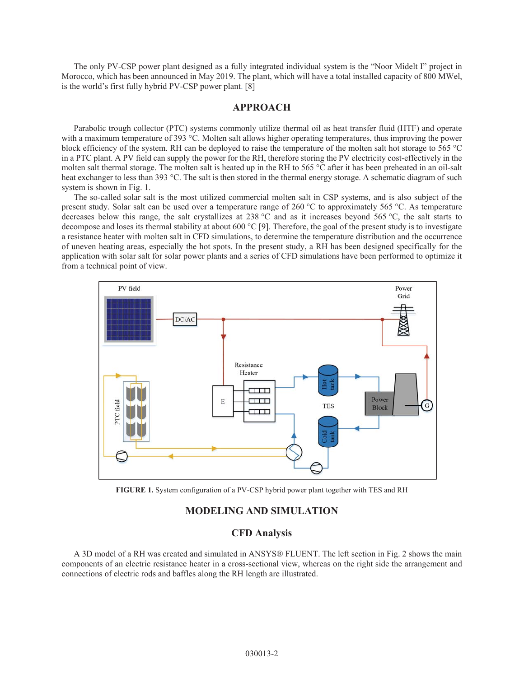The only PV-CSP power plant designed as a fully integrated individual system is the "Noor Midelt I" project in Morocco, which has been announced in May 2019. The plant, which will have a total installed capacity of 800 MWel, is the world's first fully hybrid PV-CSP power plant. [8]

### **APPROACH**

Parabolic trough collector (PTC) systems commonly utilize thermal oil as heat transfer fluid (HTF) and operate with a maximum temperature of 393 °C. Molten salt allows higher operating temperatures, thus improving the power block efficiency of the system. RH can be deployed to raise the temperature of the molten salt hot storage to 565 °C in a PTC plant. A PV field can supply the power for the RH, therefore storing the PV electricity cost-effectively in the molten salt thermal storage. The molten salt is heated up in the RH to 565 °C after it has been preheated in an oil-salt heat exchanger to less than 393 °C. The salt is then stored in the thermal energy storage. A schematic diagram of such system is shown in Fig. 1.

The so-called solar salt is the most utilized commercial molten salt in CSP systems, and is also subject of the present study. Solar salt can be used over a temperature range of 260 °C to approximately 565 °C. As temperature decreases below this range, the salt crystallizes at 238 °C and as it increases beyond 565 °C, the salt starts to decompose and loses its thermal stability at about 600 °C [9]. Therefore, the goal of the present study is to investigate a resistance heater with molten salt in CFD simulations, to determine the temperature distribution and the occurrence of uneven heating areas, especially the hot spots. In the present study, a RH has been designed specifically for the application with solar salt for solar power plants and a series of CFD simulations have been performed to optimize it from a technical point of view.



**FIGURE 1.** System configuration of a PV-CSP hybrid power plant together with TES and RH

#### **MODELING AND SIMULATION**

#### **CFD Analysis**

A 3D model of a RH was created and simulated in ANSYS® FLUENT. The left section in Fig. 2 shows the main components of an electric resistance heater in a cross-sectional view, whereas on the right side the arrangement and connections of electric rods and baffles along the RH length are illustrated.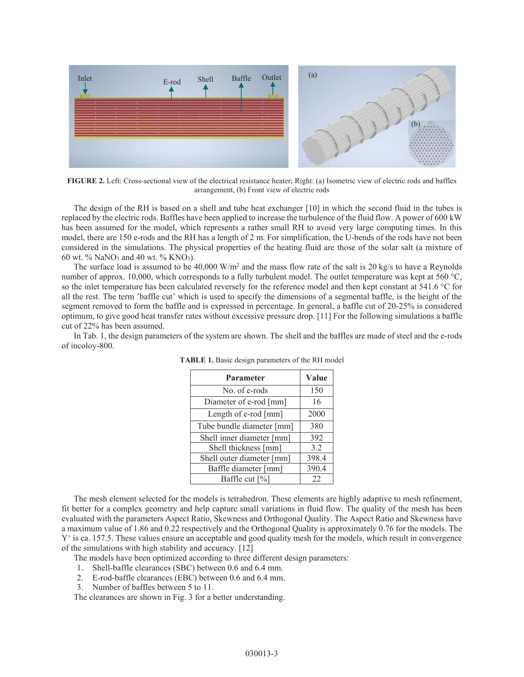

**FIGURE 2.** Left: Cross-sectional view of the electrical resistance heater; Right: (a) Isometric view of electric rods and baffles arrangement, (b) Front view of electric rods

The design of the RH is based on a shell and tube heat exchanger [10] in which the second fluid in the tubes is replaced by the electric rods. Baffles have been applied to increase the turbulence of the fluid flow. A power of 600 kW has been assumed for the model, which represents a rather small RH to avoid very large computing times. In this model, there are 150 e-rods and the RH has a length of 2 m. For simplification, the U-bends of the rods have not been considered in the simulations. The physical properties of the heating fluid are those of the solar salt (a mixture of 60 wt.  $\%$  NaNO<sub>3</sub> and 40 wt.  $\%$  KNO<sub>3</sub>).

The surface load is assumed to be 40,000 W/m<sup>2</sup> and the mass flow rate of the salt is 20 kg/s to have a Reynolds number of approx. 10,000, which corresponds to a fully turbulent model. The outlet temperature was kept at 560 °C, so the inlet temperature has been calculated reversely for the reference model and then kept constant at 541.6 °C for all the rest. The term 'baffle cut' which is used to specify the dimensions of a segmental baffle, is the height of the segment removed to form the baffle and is expressed in percentage. In general, a baffle cut of 20-25% is considered optimum, to give good heat transfer rates without excessive pressure drop. [11] For the following simulations a baffle cut of 22% has been assumed.

In Tab. 1, the design parameters of the system are shown. The shell and the baffles are made of steel and the e-rods of incoloy-800.

| <b>Parameter</b>          | Value |
|---------------------------|-------|
| No. of e-rods             | 150   |
| Diameter of e-rod [mm]    | 16    |
| Length of e-rod [mm]      | 2000  |
| Tube bundle diameter [mm] | 380   |
| Shell inner diameter [mm] | 392   |
| Shell thickness [mm]      | 3.2   |
| Shell outer diameter [mm] | 398.4 |
| Baffle diameter [mm]      | 390.4 |
| Baffle cut [%]            | 22    |

**TABLE 1.** Basic design parameters of the RH model

The mesh element selected for the models is tetrahedron. These elements are highly adaptive to mesh refinement, fit better for a complex geometry and help capture small variations in fluid flow. The quality of the mesh has been evaluated with the parameters Aspect Ratio, Skewness and Orthogonal Quality. The Aspect Ratio and Skewness have a maximum value of 1.86 and 0.22 respectively and the Orthogonal Quality is approximately 0.76 for the models. The  $Y^+$  is ca. 157.5. These values ensure an acceptable and good quality mesh for the models, which result in convergence of the simulations with high stability and accuracy. [12]

The models have been optimized according to three different design parameters:

- 1. Shell-baffle clearances (SBC) between 0.6 and 6.4 mm.
- 2. E-rod-baffle clearances (EBC) between 0.6 and 6.4 mm.
- 3. Number of baffles between 5 to 11.

The clearances are shown in Fig. 3 for a better understanding.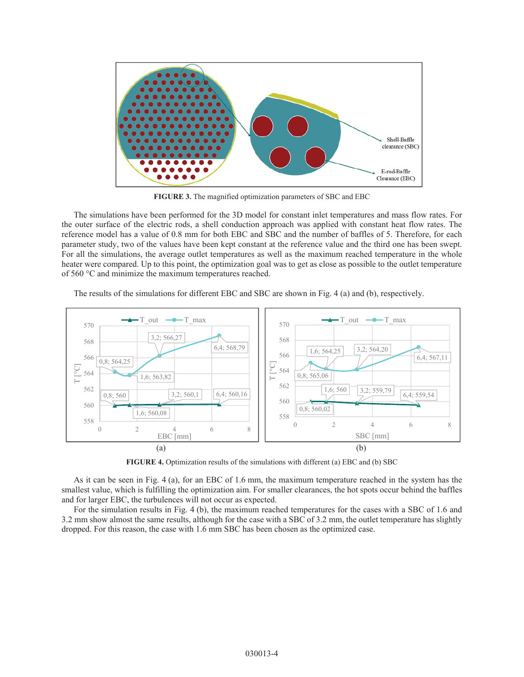

**FIGURE 3.** The magnified optimization parameters of SBC and EBC

The simulations have been performed for the 3D model for constant inlet temperatures and mass flow rates. For the outer surface of the electric rods, a shell conduction approach was applied with constant heat flow rates. The reference model has a value of 0.8 mm for both EBC and SBC and the number of baffles of 5. Therefore, for each parameter study, two of the values have been kept constant at the reference value and the third one has been swept. For all the simulations, the average outlet temperatures as well as the maximum reached temperature in the whole heater were compared. Up to this point, the optimization goal was to get as close as possible to the outlet temperature of 560 °C and minimize the maximum temperatures reached.

The results of the simulations for different EBC and SBC are shown in Fig. 4 (a) and (b), respectively.



**FIGURE 4.** Optimization results of the simulations with different (a) EBC and (b) SBC

As it can be seen in Fig. 4 (a), for an EBC of 1.6 mm, the maximum temperature reached in the system has the smallest value, which is fulfilling the optimization aim. For smaller clearances, the hot spots occur behind the baffles and for larger EBC, the turbulences will not occur as expected.

For the simulation results in Fig. 4 (b), the maximum reached temperatures for the cases with a SBC of 1.6 and 3.2 mm show almost the same results, although for the case with a SBC of 3.2 mm, the outlet temperature has slightly dropped. For this reason, the case with 1.6 mm SBC has been chosen as the optimized case.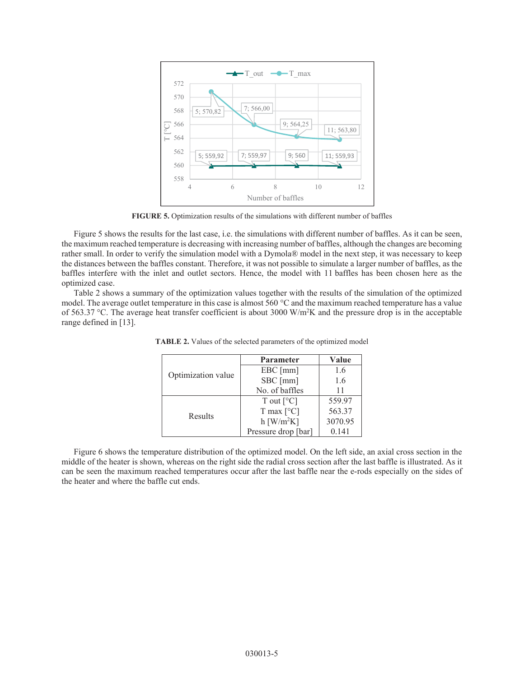

**FIGURE 5.** Optimization results of the simulations with different number of baffles

Figure 5 shows the results for the last case, i.e. the simulations with different number of baffles. As it can be seen, the maximum reached temperature is decreasing with increasing number of baffles, although the changes are becoming rather small. In order to verify the simulation model with a Dymola® model in the next step, it was necessary to keep the distances between the baffles constant. Therefore, it was not possible to simulate a larger number of baffles, as the baffles interfere with the inlet and outlet sectors. Hence, the model with 11 baffles has been chosen here as the optimized case.

Table 2 shows a summary of the optimization values together with the results of the simulation of the optimized model. The average outlet temperature in this case is almost 560 °C and the maximum reached temperature has a value of 563.37 °C. The average heat transfer coefficient is about 3000 W/m<sup>2</sup>K and the pressure drop is in the acceptable range defined in [13].

| Optimization value | <b>Parameter</b>              | Value   |
|--------------------|-------------------------------|---------|
|                    | $EBC$ [mm]                    | 1.6     |
|                    | SBC [mm]                      | 1.6     |
|                    | No. of baffles                | 11      |
| Results            | T out $[^{\circ}C]$           | 559.97  |
|                    | T max $\lceil \circ C \rceil$ | 563.37  |
|                    | $h$ [W/m <sup>2</sup> K]      | 3070.95 |
|                    | Pressure drop [bar]           | 0.141   |

**TABLE 2.** Values of the selected parameters of the optimized model

Figure 6 shows the temperature distribution of the optimized model. On the left side, an axial cross section in the middle of the heater is shown, whereas on the right side the radial cross section after the last baffle is illustrated. As it can be seen the maximum reached temperatures occur after the last baffle near the e-rods especially on the sides of the heater and where the baffle cut ends.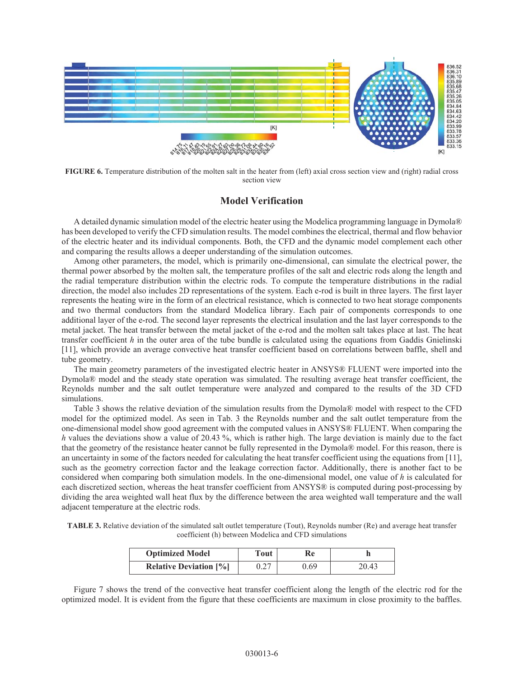

**FIGURE 6.** Temperature distribution of the molten salt in the heater from (left) axial cross section view and (right) radial cross section view

#### **Model Verification**

A detailed dynamic simulation model of the electric heater using the Modelica programming language in Dymola® has been developed to verify the CFD simulation results. The model combines the electrical, thermal and flow behavior of the electric heater and its individual components. Both, the CFD and the dynamic model complement each other and comparing the results allows a deeper understanding of the simulation outcomes.

Among other parameters, the model, which is primarily one-dimensional, can simulate the electrical power, the thermal power absorbed by the molten salt, the temperature profiles of the salt and electric rods along the length and the radial temperature distribution within the electric rods. To compute the temperature distributions in the radial direction, the model also includes 2D representations of the system. Each e-rod is built in three layers. The first layer represents the heating wire in the form of an electrical resistance, which is connected to two heat storage components and two thermal conductors from the standard Modelica library. Each pair of components corresponds to one additional layer of the e-rod. The second layer represents the electrical insulation and the last layer corresponds to the metal jacket. The heat transfer between the metal jacket of the e-rod and the molten salt takes place at last. The heat transfer coefficient *h* in the outer area of the tube bundle is calculated using the equations from Gaddis Gnielinski [11], which provide an average convective heat transfer coefficient based on correlations between baffle, shell and tube geometry.

The main geometry parameters of the investigated electric heater in ANSYS® FLUENT were imported into the Dymola® model and the steady state operation was simulated. The resulting average heat transfer coefficient, the Reynolds number and the salt outlet temperature were analyzed and compared to the results of the 3D CFD simulations.

Table 3 shows the relative deviation of the simulation results from the Dymola® model with respect to the CFD model for the optimized model. As seen in Tab. 3 the Reynolds number and the salt outlet temperature from the one-dimensional model show good agreement with the computed values in ANSYS® FLUENT. When comparing the *h* values the deviations show a value of 20.43 %, which is rather high. The large deviation is mainly due to the fact that the geometry of the resistance heater cannot be fully represented in the Dymola® model. For this reason, there is an uncertainty in some of the factors needed for calculating the heat transfer coefficient using the equations from [11], such as the geometry correction factor and the leakage correction factor. Additionally, there is another fact to be considered when comparing both simulation models. In the one-dimensional model, one value of *h* is calculated for each discretized section, whereas the heat transfer coefficient from ANSYS® is computed during post-processing by dividing the area weighted wall heat flux by the difference between the area weighted wall temperature and the wall adjacent temperature at the electric rods.

**TABLE 3.** Relative deviation of the simulated salt outlet temperature (Tout), Reynolds number (Re) and average heat transfer coefficient (h) between Modelica and CFD simulations

| <b>Optimized Model</b>        | Tout | Re   |       |
|-------------------------------|------|------|-------|
| <b>Relative Deviation [%]</b> | 0.27 | 0.69 | 20.43 |

Figure 7 shows the trend of the convective heat transfer coefficient along the length of the electric rod for the optimized model. It is evident from the figure that these coefficients are maximum in close proximity to the baffles.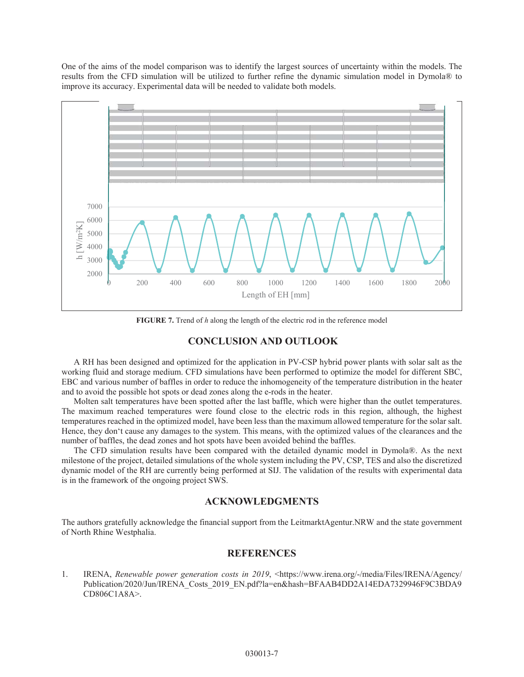One of the aims of the model comparison was to identify the largest sources of uncertainty within the models. The results from the CFD simulation will be utilized to further refine the dynamic simulation model in Dymola® to improve its accuracy. Experimental data will be needed to validate both models.



**FIGURE 7.** Trend of *h* along the length of the electric rod in the reference model

# **CONCLUSION AND OUTLOOK**

A RH has been designed and optimized for the application in PV-CSP hybrid power plants with solar salt as the working fluid and storage medium. CFD simulations have been performed to optimize the model for different SBC, EBC and various number of baffles in order to reduce the inhomogeneity of the temperature distribution in the heater and to avoid the possible hot spots or dead zones along the e-rods in the heater.

Molten salt temperatures have been spotted after the last baffle, which were higher than the outlet temperatures. The maximum reached temperatures were found close to the electric rods in this region, although, the highest temperatures reached in the optimized model, have been less than the maximum allowed temperature for the solar salt. Hence, they don't cause any damages to the system. This means, with the optimized values of the clearances and the number of baffles, the dead zones and hot spots have been avoided behind the baffles.

The CFD simulation results have been compared with the detailed dynamic model in Dymola®. As the next milestone of the project, detailed simulations of the whole system including the PV, CSP, TES and also the discretized dynamic model of the RH are currently being performed at SIJ. The validation of the results with experimental data is in the framework of the ongoing project SWS.

## **ACKNOWLEDGMENTS**

The authors gratefully acknowledge the financial support from the LeitmarktAgentur.NRW and the state government of North Rhine Westphalia.

#### **REFERENCES**

1. IRENA, *Renewable power generation costs in 2019*, <https://www.irena.org/-/media/Files/IRENA/Agency/ Publication/2020/Jun/IRENA\_Costs\_2019\_EN.pdf?la=en&hash=BFAAB4DD2A14EDA7329946F9C3BDA9 CD806C1A8A>.